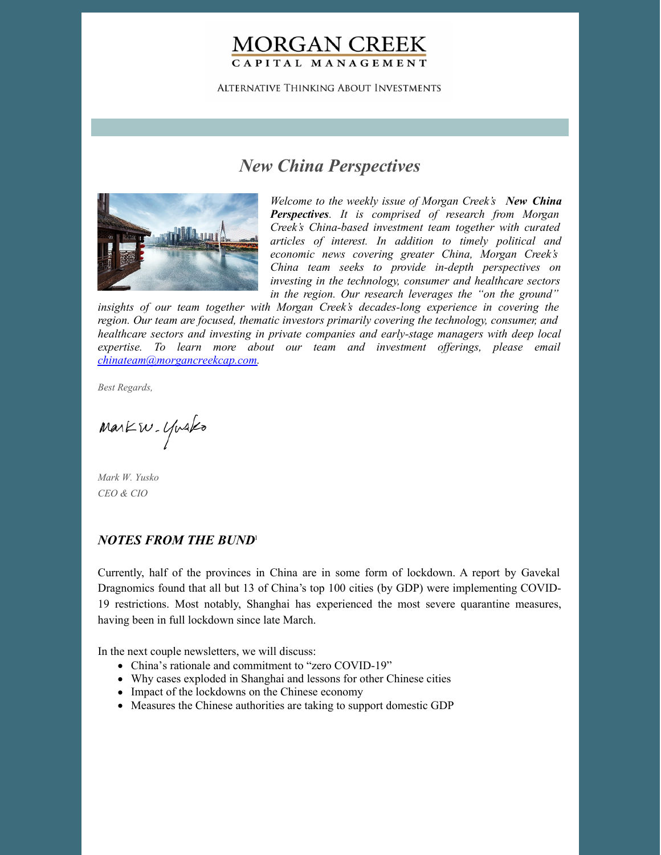# **MORGAN CREEK** CAPITAL MANAGEMENT

**ALTERNATIVE THINKING ABOUT INVESTMENTS** 

# *New China Perspectives*



*Welcome to the weekly issue of Morgan Creek's New China Perspectives. It is comprised of research from Morgan Creek's China-based investment team together with curated articles of interest. In addition to timely political and economic news covering greater China, Morgan Creek's China team seeks to provide in-depth perspectives on investing in the technology, consumer and healthcare sectors in the region. Our research leverages the "on the ground"*

*insights of our team together with Morgan Creek's decades-long experience in covering the region. Our team are focused, thematic investors primarily covering the technology, consumer, and healthcare sectors and investing in private companies and early-stage managers with deep local expertise. To learn more about our team and investment of erings, please email [chinateam@morgancreekcap.com](mailto:chinateam@morgancreekcap.com).*

*Best Regards,*

Markw. Yusko

*Mark W. Yusko CEO & CIO*

## *NOTES FROM THE BUND* 1

Currently, half of the provinces in China are in some form of lockdown. A report by Gavekal Dragnomics found that all but 13 of China's top 100 cities (by GDP) were implementing COVID-19 restrictions. Most notably, Shanghai has experienced the most severe quarantine measures, having been in full lockdown since late March.

In the next couple newsletters, we will discuss:

- China's rationale and commitment to "zero COVID-19"
- Why cases exploded in Shanghai and lessons for other Chinese cities
- Impact of the lockdowns on the Chinese economy
- Measures the Chinese authorities are taking to support domestic GDP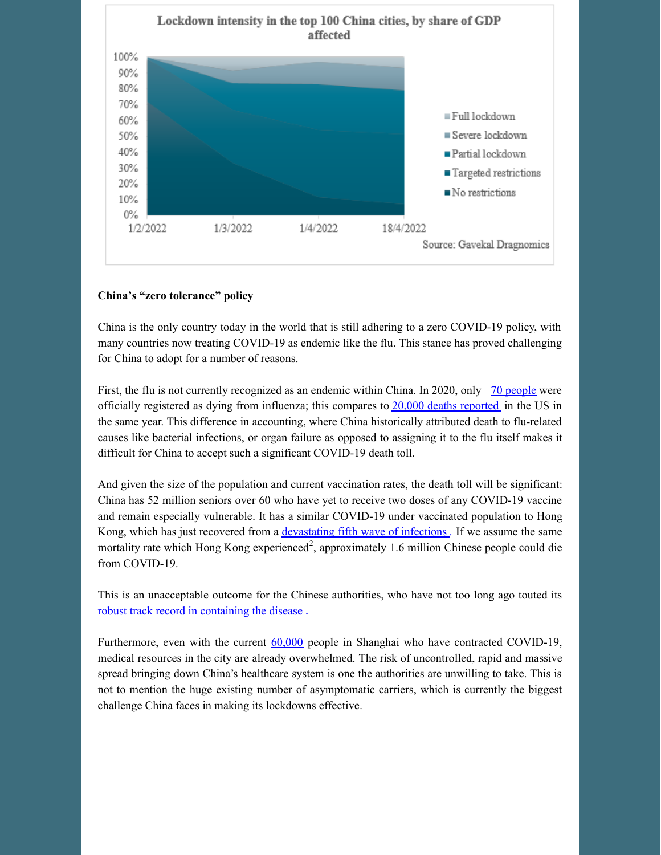

#### **China's "zero tolerance" policy**

China is the only country today in the world that is still adhering to a zero COVID-19 policy, with many countries now treating COVID-19 as endemic like the flu. This stance has proved challenging for China to adopt for a number of reasons.

First, the flu is not currently recognized as an endemic within China. In 2020, only 70 [people](https://www.statista.com/statistics/1108821/influenza-death-rate-in-china/) were officially registered as dying from influenza; this compares to 20,000 deaths [reported](https://www.cdc.gov/flu/about/burden/2019-2020.html) in the US in the same year. This difference in accounting, where China historically attributed death to flu-related causes like bacterial infections, or organ failure as opposed to assigning it to the flu itself makes it difficult for China to accept such a significant COVID-19 death toll.

And given the size of the population and current vaccination rates, the death toll will be significant: China has 52 million seniors over 60 who have yet to receive two doses of any COVID-19 vaccine and remain especially vulnerable. It has a similar COVID-19 under vaccinated population to Hong Kong, which has just recovered from a [devastating](https://www.theguardian.com/world/2022/mar/18/hong-kong-covid-crisis-why-is-the-death-rate-so-high) fifth wave of infections . If we assume the same mortality rate which Hong Kong experienced<sup>2</sup>, approximately 1.6 million Chinese people could die from COVID-19.

This is an unacceptable outcome for the Chinese authorities, who have not too long ago touted its robust track record in [containing](https://www.scmp.com/news/china/society/article/3109393/how-china-claimed-victory-over-coronavirus) the disease .

Furthermore, even with the current [60,000](https://coronalevel.com/China/Shanghai/) people in Shanghai who have contracted COVID-19, medical resources in the city are already overwhelmed. The risk of uncontrolled, rapid and massive spread bringing down China's healthcare system is one the authorities are unwilling to take. This is not to mention the huge existing number of asymptomatic carriers, which is currently the biggest challenge China faces in making its lockdowns effective.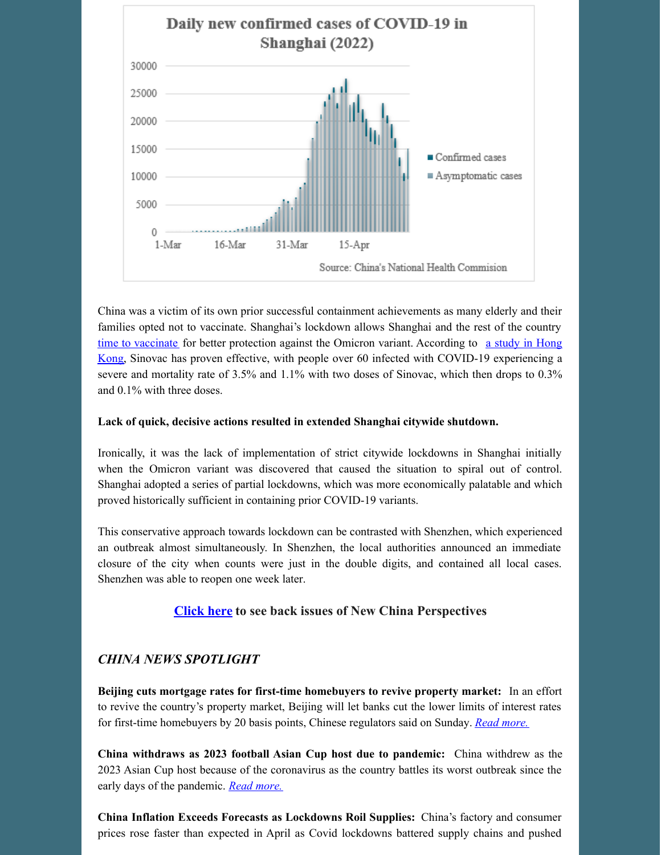

China was a victim of its own prior successful containment achievements as many elderly and their families opted not to vaccinate. Shanghai's lockdown allows Shanghai and the rest of the country time to [vaccinate](https://www.news24.com/news24/world/news/shanghais-focus-shifts-to-vaccination-of-elderly-as-new-cases-decline-20220428) for better protection against the Omicron variant. According to a study in Hong Kong, Sinovac has proven effective, with people over 60 infected with COVID-19 [experiencing](https://www.scmp.com/news/hong-kong/health-environment/article/3173698/why-hong-kongs-coronavirus-death-rate-so-high) a severe and mortality rate of 3.5% and 1.1% with two doses of Sinovac, which then drops to 0.3% and 0.1% with three doses.

#### **Lack of quick, decisive actions resulted in extended Shanghai citywide shutdown.**

Ironically, it was the lack of implementation of strict citywide lockdowns in Shanghai initially when the Omicron variant was discovered that caused the situation to spiral out of control. Shanghai adopted a series of partial lockdowns, which was more economically palatable and which proved historically sufficient in containing prior COVID-19 variants.

This conservative approach towards lockdown can be contrasted with Shenzhen, which experienced an outbreak almost simultaneously. In Shenzhen, the local authorities announced an immediate closure of the city when counts were just in the double digits, and contained all local cases. Shenzhen was able to reopen one week later.

### **[Click](https://www.morgancreekcap.com/market-commentary/#investment-process) here to see back issues of New China Perspectives**

### *CHINA NEWS SPOTLIGHT*

**Beijing cuts mortgage rates for first-time homebuyers to revive property market:** In an effort to revive the country's property market, Beijing will let banks cut the lower limits of interest rates for first-time homebuyers by 20 basis points, Chinese regulators said on Sunday. *Read [more.](https://www.scmp.com/business/article/3177829/beijing-cuts-mortgage-rates-first-time-homebuyers-revive-property-market)*

**China withdraws as 2023 football Asian Cup host due to pandemic:** China withdrew as the 2023 Asian Cup host because of the coronavirus as the country battles its worst outbreak since the early days of the pandemic. *Read [more.](https://www.aljazeera.com/news/2022/5/14/china-withdraws-as-2023-football-asian-cup-host-due-to-pandemic)*

**China Inflation Exceeds Forecasts as Lockdowns Roil Supplies:** China's factory and consumer prices rose faster than expected in April as Covid lockdowns battered supply chains and pushed